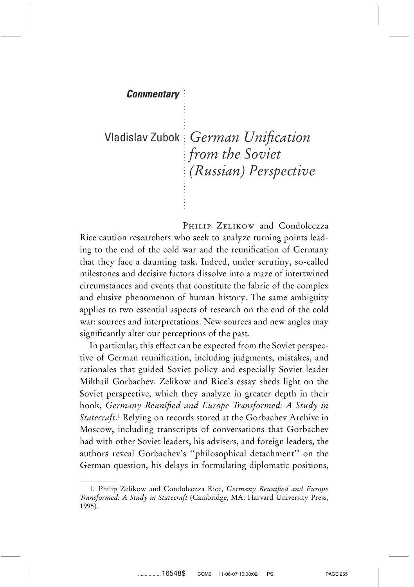## *Commentary*

Vladislav Zubok *German Unification from the Soviet (Russian) Perspective*

PHILIP ZELIKOW and Condoleezza Rice caution researchers who seek to analyze turning points leading to the end of the cold war and the reunification of Germany that they face a daunting task. Indeed, under scrutiny, so-called milestones and decisive factors dissolve into a maze of intertwined circumstances and events that constitute the fabric of the complex and elusive phenomenon of human history. The same ambiguity applies to two essential aspects of research on the end of the cold war: sources and interpretations. New sources and new angles may significantly alter our perceptions of the past.

In particular, this effect can be expected from the Soviet perspective of German reunification, including judgments, mistakes, and rationales that guided Soviet policy and especially Soviet leader Mikhail Gorbachev. Zelikow and Rice's essay sheds light on the Soviet perspective, which they analyze in greater depth in their book, *Germany Reunified and Europe Transformed: A Study in Statecraft*. <sup>1</sup> Relying on records stored at the Gorbachev Archive in Moscow, including transcripts of conversations that Gorbachev had with other Soviet leaders, his advisers, and foreign leaders, the authors reveal Gorbachev's ''philosophical detachment'' on the German question, his delays in formulating diplomatic positions,

<sup>1.</sup> Philip Zelikow and Condoleezza Rice, *Germany Reunified and Europe Transformed: A Study in Statecraft* (Cambridge, MA: Harvard University Press, 1995).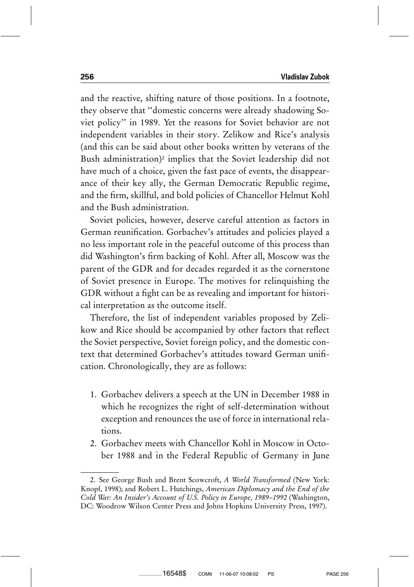and the reactive, shifting nature of those positions. In a footnote, they observe that ''domestic concerns were already shadowing Soviet policy'' in 1989. Yet the reasons for Soviet behavior are not independent variables in their story. Zelikow and Rice's analysis (and this can be said about other books written by veterans of the Bush administration)<sup>2</sup> implies that the Soviet leadership did not have much of a choice, given the fast pace of events, the disappearance of their key ally, the German Democratic Republic regime, and the firm, skillful, and bold policies of Chancellor Helmut Kohl and the Bush administration.

Soviet policies, however, deserve careful attention as factors in German reunification. Gorbachev's attitudes and policies played a no less important role in the peaceful outcome of this process than did Washington's firm backing of Kohl. After all, Moscow was the parent of the GDR and for decades regarded it as the cornerstone of Soviet presence in Europe. The motives for relinquishing the GDR without a fight can be as revealing and important for historical interpretation as the outcome itself.

Therefore, the list of independent variables proposed by Zelikow and Rice should be accompanied by other factors that reflect the Soviet perspective, Soviet foreign policy, and the domestic context that determined Gorbachev's attitudes toward German unification. Chronologically, they are as follows:

- 1. Gorbachev delivers a speech at the UN in December 1988 in which he recognizes the right of self-determination without exception and renounces the use of force in international relations.
- 2. Gorbachev meets with Chancellor Kohl in Moscow in October 1988 and in the Federal Republic of Germany in June

<sup>2.</sup> See George Bush and Brent Scowcroft, *A World Transformed* (New York: Knopf, 1998); and Robert L. Hutchings, *American Diplomacy and the End of the Cold War: An Insider's Account of U.S. Policy in Europe, 1989–1992* (Washington, DC: Woodrow Wilson Center Press and Johns Hopkins University Press, 1997).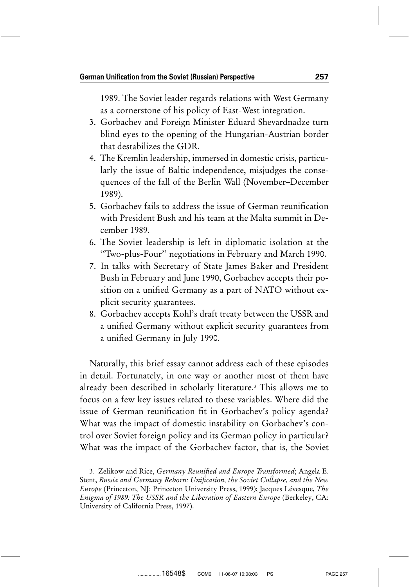1989. The Soviet leader regards relations with West Germany as a cornerstone of his policy of East-West integration.

- 3. Gorbachev and Foreign Minister Eduard Shevardnadze turn blind eyes to the opening of the Hungarian-Austrian border that destabilizes the GDR.
- 4. The Kremlin leadership, immersed in domestic crisis, particularly the issue of Baltic independence, misjudges the consequences of the fall of the Berlin Wall (November–December 1989).
- 5. Gorbachev fails to address the issue of German reunification with President Bush and his team at the Malta summit in December 1989.
- 6. The Soviet leadership is left in diplomatic isolation at the ''Two-plus-Four'' negotiations in February and March 1990.
- 7. In talks with Secretary of State James Baker and President Bush in February and June 1990, Gorbachev accepts their position on a unified Germany as a part of NATO without explicit security guarantees.
- 8. Gorbachev accepts Kohl's draft treaty between the USSR and a unified Germany without explicit security guarantees from a unified Germany in July 1990.

Naturally, this brief essay cannot address each of these episodes in detail. Fortunately, in one way or another most of them have already been described in scholarly literature.3 This allows me to focus on a few key issues related to these variables. Where did the issue of German reunification fit in Gorbachev's policy agenda? What was the impact of domestic instability on Gorbachev's control over Soviet foreign policy and its German policy in particular? What was the impact of the Gorbachev factor, that is, the Soviet

<sup>3.</sup> Zelikow and Rice, *Germany Reunified and Europe Transformed*; Angela E. Stent, *Russia and Germany Reborn: Unification, the Soviet Collapse, and the New Europe* (Princeton, NJ: Princeton University Press, 1999); Jacques Lévesque, *The Enigma of 1989: The USSR and the Liberation of Eastern Europe* (Berkeley, CA: University of California Press, 1997).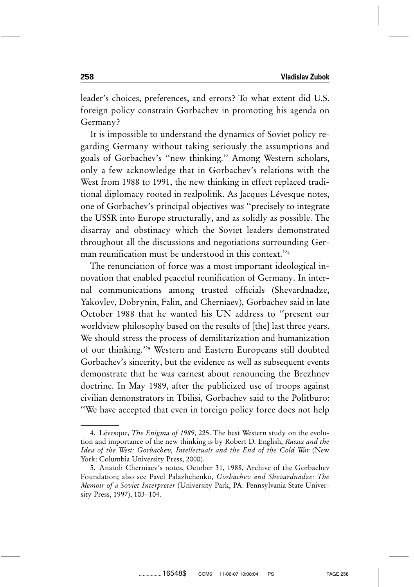leader's choices, preferences, and errors? To what extent did U.S. foreign policy constrain Gorbachev in promoting his agenda on Germany?

It is impossible to understand the dynamics of Soviet policy regarding Germany without taking seriously the assumptions and goals of Gorbachev's ''new thinking.'' Among Western scholars, only a few acknowledge that in Gorbachev's relations with the West from 1988 to 1991, the new thinking in effect replaced traditional diplomacy rooted in realpolitik. As Jacques Lévesque notes, one of Gorbachev's principal objectives was ''precisely to integrate the USSR into Europe structurally, and as solidly as possible. The disarray and obstinacy which the Soviet leaders demonstrated throughout all the discussions and negotiations surrounding German reunification must be understood in this context.''4

The renunciation of force was a most important ideological innovation that enabled peaceful reunification of Germany. In internal communications among trusted officials (Shevardnadze, Yakovlev, Dobrynin, Falin, and Cherniaev), Gorbachev said in late October 1988 that he wanted his UN address to ''present our worldview philosophy based on the results of [the] last three years. We should stress the process of demilitarization and humanization of our thinking.''5 Western and Eastern Europeans still doubted Gorbachev's sincerity, but the evidence as well as subsequent events demonstrate that he was earnest about renouncing the Brezhnev doctrine. In May 1989, after the publicized use of troops against civilian demonstrators in Tbilisi, Gorbachev said to the Politburo: ''We have accepted that even in foreign policy force does not help

<sup>4.</sup> Lévesque, *The Enigma of 1989*, 225. The best Western study on the evolution and importance of the new thinking is by Robert D. English, *Russia and the Idea of the West: Gorbachev, Intellectuals and the End of the Cold War* (New York: Columbia University Press, 2000).

<sup>5.</sup> Anatoli Cherniaev's notes, October 31, 1988, Archive of the Gorbachev Foundation; also see Pavel Palazhchenko, *Gorbachev and Shevardnadze: The Memoir of a Soviet Interpreter* (University Park, PA: Pennsylvania State University Press, 1997), 103–104.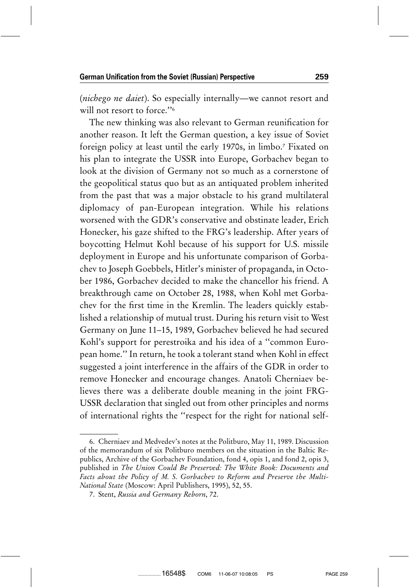(*nichego ne daiet*). So especially internally—we cannot resort and will not resort to force."<sup>6</sup>

The new thinking was also relevant to German reunification for another reason. It left the German question, a key issue of Soviet foreign policy at least until the early 1970s, in limbo.7 Fixated on his plan to integrate the USSR into Europe, Gorbachev began to look at the division of Germany not so much as a cornerstone of the geopolitical status quo but as an antiquated problem inherited from the past that was a major obstacle to his grand multilateral diplomacy of pan-European integration. While his relations worsened with the GDR's conservative and obstinate leader, Erich Honecker, his gaze shifted to the FRG's leadership. After years of boycotting Helmut Kohl because of his support for U.S. missile deployment in Europe and his unfortunate comparison of Gorbachev to Joseph Goebbels, Hitler's minister of propaganda, in October 1986, Gorbachev decided to make the chancellor his friend. A breakthrough came on October 28, 1988, when Kohl met Gorbachev for the first time in the Kremlin. The leaders quickly established a relationship of mutual trust. During his return visit to West Germany on June 11–15, 1989, Gorbachev believed he had secured Kohl's support for perestroika and his idea of a ''common European home.'' In return, he took a tolerant stand when Kohl in effect suggested a joint interference in the affairs of the GDR in order to remove Honecker and encourage changes. Anatoli Cherniaev believes there was a deliberate double meaning in the joint FRG-USSR declaration that singled out from other principles and norms of international rights the ''respect for the right for national self-

<sup>6.</sup> Cherniaev and Medvedev's notes at the Politburo, May 11, 1989. Discussion of the memorandum of six Politburo members on the situation in the Baltic Republics, Archive of the Gorbachev Foundation, fond 4, opis 1, and fond 2, opis 3, published in *The Union Could Be Preserved: The White Book: Documents and Facts about the Policy of M. S. Gorbachev to Reform and Preserve the Multi-National State* (Moscow: April Publishers, 1995), 52, 55.

<sup>7.</sup> Stent, *Russia and Germany Reborn*, 72.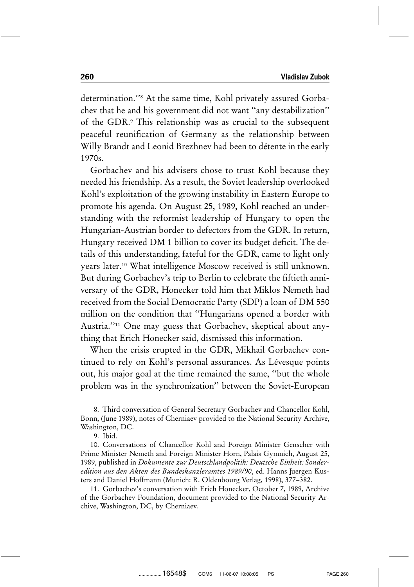determination.''8 At the same time, Kohl privately assured Gorbachev that he and his government did not want ''any destabilization'' of the GDR.9 This relationship was as crucial to the subsequent peaceful reunification of Germany as the relationship between Willy Brandt and Leonid Brezhnev had been to détente in the early 1970s.

Gorbachev and his advisers chose to trust Kohl because they needed his friendship. As a result, the Soviet leadership overlooked Kohl's exploitation of the growing instability in Eastern Europe to promote his agenda. On August 25, 1989, Kohl reached an understanding with the reformist leadership of Hungary to open the Hungarian-Austrian border to defectors from the GDR. In return, Hungary received DM 1 billion to cover its budget deficit. The details of this understanding, fateful for the GDR, came to light only years later.10 What intelligence Moscow received is still unknown. But during Gorbachev's trip to Berlin to celebrate the fiftieth anniversary of the GDR, Honecker told him that Miklos Nemeth had received from the Social Democratic Party (SDP) a loan of DM 550 million on the condition that ''Hungarians opened a border with Austria.''11 One may guess that Gorbachev, skeptical about anything that Erich Honecker said, dismissed this information.

When the crisis erupted in the GDR, Mikhail Gorbachev continued to rely on Kohl's personal assurances. As Lévesque points out, his major goal at the time remained the same, ''but the whole problem was in the synchronization'' between the Soviet-European

<sup>8.</sup> Third conversation of General Secretary Gorbachev and Chancellor Kohl, Bonn, (June 1989), notes of Cherniaev provided to the National Security Archive, Washington, DC.

<sup>9.</sup> Ibid.

<sup>10.</sup> Conversations of Chancellor Kohl and Foreign Minister Genscher with Prime Minister Nemeth and Foreign Minister Horn, Palais Gymnich, August 25, 1989, published in *Dokumente zur Deutschlandpolitik: Deutsche Einheit: Sonderedition aus den Akten des Bundeskanzleramtes 1989/90*, ed. Hanns Juergen Kusters and Daniel Hoffmann (Munich: R. Oldenbourg Verlag, 1998), 377–382.

<sup>11.</sup> Gorbachev's conversation with Erich Honecker, October 7, 1989, Archive of the Gorbachev Foundation, document provided to the National Security Archive, Washington, DC, by Cherniaev.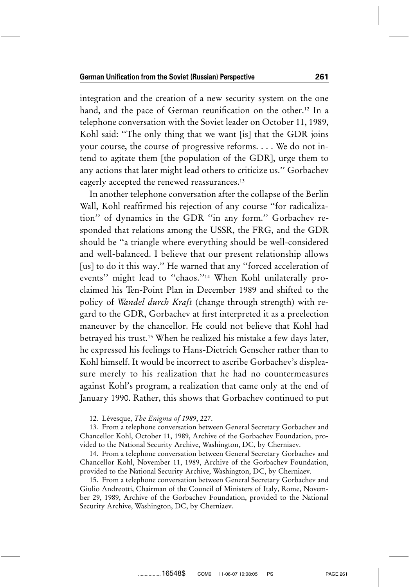integration and the creation of a new security system on the one hand, and the pace of German reunification on the other.<sup>12</sup> In a telephone conversation with the Soviet leader on October 11, 1989, Kohl said: ''The only thing that we want [is] that the GDR joins your course, the course of progressive reforms. . . . We do not intend to agitate them [the population of the GDR], urge them to any actions that later might lead others to criticize us.'' Gorbachev eagerly accepted the renewed reassurances.<sup>13</sup>

In another telephone conversation after the collapse of the Berlin Wall, Kohl reaffirmed his rejection of any course ''for radicalization'' of dynamics in the GDR ''in any form.'' Gorbachev responded that relations among the USSR, the FRG, and the GDR should be ''a triangle where everything should be well-considered and well-balanced. I believe that our present relationship allows [us] to do it this way." He warned that any "forced acceleration of events'' might lead to ''chaos.''14 When Kohl unilaterally proclaimed his Ten-Point Plan in December 1989 and shifted to the policy of *Wandel durch Kraft* (change through strength) with regard to the GDR, Gorbachev at first interpreted it as a preelection maneuver by the chancellor. He could not believe that Kohl had betrayed his trust.15 When he realized his mistake a few days later, he expressed his feelings to Hans-Dietrich Genscher rather than to Kohl himself. It would be incorrect to ascribe Gorbachev's displeasure merely to his realization that he had no countermeasures against Kohl's program, a realization that came only at the end of January 1990. Rather, this shows that Gorbachev continued to put

<sup>12.</sup> Le´vesque, *The Enigma of 1989*, 227.

<sup>13.</sup> From a telephone conversation between General Secretary Gorbachev and Chancellor Kohl, October 11, 1989, Archive of the Gorbachev Foundation, provided to the National Security Archive, Washington, DC, by Cherniaev.

<sup>14.</sup> From a telephone conversation between General Secretary Gorbachev and Chancellor Kohl, November 11, 1989, Archive of the Gorbachev Foundation, provided to the National Security Archive, Washington, DC, by Cherniaev.

<sup>15.</sup> From a telephone conversation between General Secretary Gorbachev and Giulio Andreotti, Chairman of the Council of Ministers of Italy, Rome, November 29, 1989, Archive of the Gorbachev Foundation, provided to the National Security Archive, Washington, DC, by Cherniaev.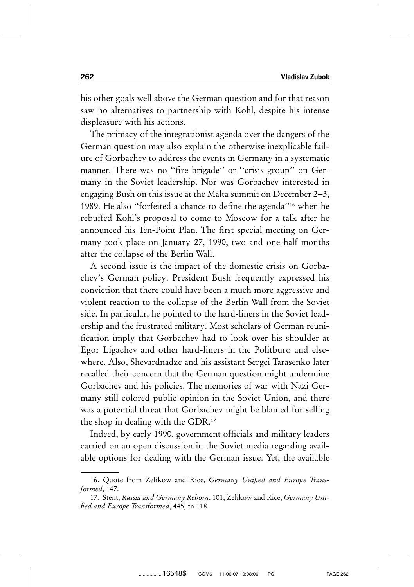his other goals well above the German question and for that reason saw no alternatives to partnership with Kohl, despite his intense displeasure with his actions.

The primacy of the integrationist agenda over the dangers of the German question may also explain the otherwise inexplicable failure of Gorbachev to address the events in Germany in a systematic manner. There was no "fire brigade" or "crisis group" on Germany in the Soviet leadership. Nor was Gorbachev interested in engaging Bush on this issue at the Malta summit on December 2–3, 1989. He also ''forfeited a chance to define the agenda''16 when he rebuffed Kohl's proposal to come to Moscow for a talk after he announced his Ten-Point Plan. The first special meeting on Germany took place on January 27, 1990, two and one-half months after the collapse of the Berlin Wall.

A second issue is the impact of the domestic crisis on Gorbachev's German policy. President Bush frequently expressed his conviction that there could have been a much more aggressive and violent reaction to the collapse of the Berlin Wall from the Soviet side. In particular, he pointed to the hard-liners in the Soviet leadership and the frustrated military. Most scholars of German reunification imply that Gorbachev had to look over his shoulder at Egor Ligachev and other hard-liners in the Politburo and elsewhere. Also, Shevardnadze and his assistant Sergei Tarasenko later recalled their concern that the German question might undermine Gorbachev and his policies. The memories of war with Nazi Germany still colored public opinion in the Soviet Union, and there was a potential threat that Gorbachev might be blamed for selling the shop in dealing with the GDR.17

Indeed, by early 1990, government officials and military leaders carried on an open discussion in the Soviet media regarding available options for dealing with the German issue. Yet, the available

<sup>16.</sup> Quote from Zelikow and Rice, *Germany Unified and Europe Transformed*, 147.

<sup>17.</sup> Stent, *Russia and Germany Reborn*, 101; Zelikow and Rice, *Germany Unified and Europe Transformed*, 445, fn 118.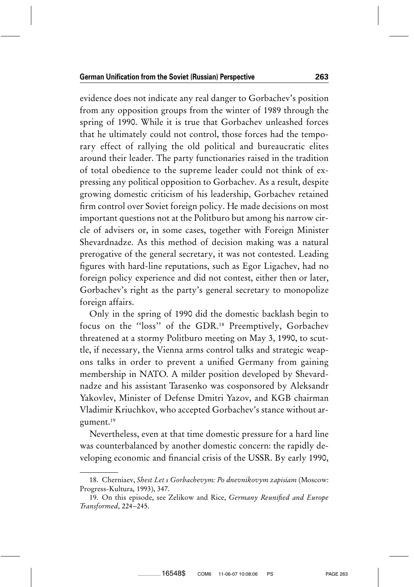evidence does not indicate any real danger to Gorbachev's position from any opposition groups from the winter of 1989 through the spring of 1990. While it is true that Gorbachev unleashed forces that he ultimately could not control, those forces had the temporary effect of rallying the old political and bureaucratic elites around their leader. The party functionaries raised in the tradition of total obedience to the supreme leader could not think of expressing any political opposition to Gorbachev. As a result, despite growing domestic criticism of his leadership, Gorbachev retained firm control over Soviet foreign policy. He made decisions on most important questions not at the Politburo but among his narrow circle of advisers or, in some cases, together with Foreign Minister Shevardnadze. As this method of decision making was a natural prerogative of the general secretary, it was not contested. Leading figures with hard-line reputations, such as Egor Ligachev, had no foreign policy experience and did not contest, either then or later, Gorbachev's right as the party's general secretary to monopolize foreign affairs.

Only in the spring of 1990 did the domestic backlash begin to focus on the ''loss'' of the GDR.18 Preemptively, Gorbachev threatened at a stormy Politburo meeting on May 3, 1990, to scuttle, if necessary, the Vienna arms control talks and strategic weapons talks in order to prevent a unified Germany from gaining membership in NATO. A milder position developed by Shevardnadze and his assistant Tarasenko was cosponsored by Aleksandr Yakovlev, Minister of Defense Dmitri Yazov, and KGB chairman Vladimir Kriuchkov, who accepted Gorbachev's stance without argument.19

Nevertheless, even at that time domestic pressure for a hard line was counterbalanced by another domestic concern: the rapidly developing economic and financial crisis of the USSR. By early 1990,

<sup>18.</sup> Cherniaev, *Shest Let s Gorbachevym: Po dnevnikovym zapisiam* (Moscow: Progress-Kultura, 1993), 347.

<sup>19.</sup> On this episode, see Zelikow and Rice, *Germany Reunified and Europe Transformed*, 224–245.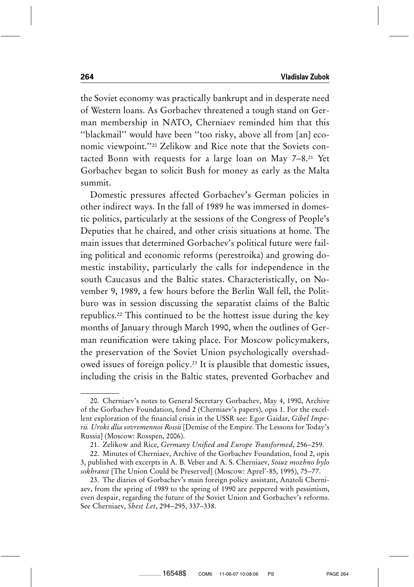the Soviet economy was practically bankrupt and in desperate need of Western loans. As Gorbachev threatened a tough stand on German membership in NATO, Cherniaev reminded him that this ''blackmail'' would have been ''too risky, above all from [an] economic viewpoint.''20 Zelikow and Rice note that the Soviets contacted Bonn with requests for a large loan on May 7–8.21 Yet Gorbachev began to solicit Bush for money as early as the Malta summit.

Domestic pressures affected Gorbachev's German policies in other indirect ways. In the fall of 1989 he was immersed in domestic politics, particularly at the sessions of the Congress of People's Deputies that he chaired, and other crisis situations at home. The main issues that determined Gorbachev's political future were failing political and economic reforms (perestroika) and growing domestic instability, particularly the calls for independence in the south Caucasus and the Baltic states. Characteristically, on November 9, 1989, a few hours before the Berlin Wall fell, the Politburo was in session discussing the separatist claims of the Baltic republics.22 This continued to be the hottest issue during the key months of January through March 1990, when the outlines of German reunification were taking place. For Moscow policymakers, the preservation of the Soviet Union psychologically overshadowed issues of foreign policy.23 It is plausible that domestic issues, including the crisis in the Baltic states, prevented Gorbachev and

<sup>20.</sup> Cherniaev's notes to General Secretary Gorbachev, May 4, 1990, Archive of the Gorbachev Foundation, fond 2 (Cherniaev's papers), opis 1. For the excellent exploration of the financial crisis in the USSR see: Egor Gaidar, *Gibel Imperii. Uroki dlia sovremennoi Rossii* [Demise of the Empire. The Lessons for Today's Russia] (Moscow: Rosspen, 2006).

<sup>21.</sup> Zelikow and Rice, *Germany Unified and Europe Transformed*, 256–259.

<sup>22.</sup> Minutes of Cherniaev, Archive of the Gorbachev Foundation, fond 2, opis 3, published with excerpts in A. B. Veber and A. S. Cherniaev, *Soiuz mozhno bylo sokhranit* [The Union Could be Preserved] (Moscow: Aprel'-85, 1995), 75–77.

<sup>23.</sup> The diaries of Gorbachev's main foreign policy assistant, Anatoli Cherniaev, from the spring of 1989 to the spring of 1990 are peppered with pessimism, even despair, regarding the future of the Soviet Union and Gorbachev's reforms. See Cherniaev, *Shest Let*, 294–295, 337–338.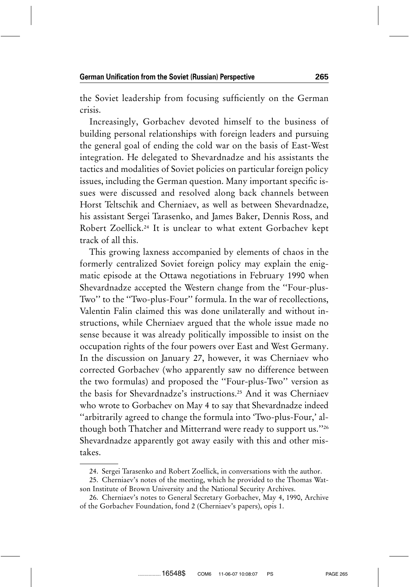the Soviet leadership from focusing sufficiently on the German crisis.

Increasingly, Gorbachev devoted himself to the business of building personal relationships with foreign leaders and pursuing the general goal of ending the cold war on the basis of East-West integration. He delegated to Shevardnadze and his assistants the tactics and modalities of Soviet policies on particular foreign policy issues, including the German question. Many important specific issues were discussed and resolved along back channels between Horst Teltschik and Cherniaev, as well as between Shevardnadze, his assistant Sergei Tarasenko, and James Baker, Dennis Ross, and Robert Zoellick.24 It is unclear to what extent Gorbachev kept track of all this.

This growing laxness accompanied by elements of chaos in the formerly centralized Soviet foreign policy may explain the enigmatic episode at the Ottawa negotiations in February 1990 when Shevardnadze accepted the Western change from the ''Four-plus-Two'' to the ''Two-plus-Four'' formula. In the war of recollections, Valentin Falin claimed this was done unilaterally and without instructions, while Cherniaev argued that the whole issue made no sense because it was already politically impossible to insist on the occupation rights of the four powers over East and West Germany. In the discussion on January 27, however, it was Cherniaev who corrected Gorbachev (who apparently saw no difference between the two formulas) and proposed the ''Four-plus-Two'' version as the basis for Shevardnadze's instructions.25 And it was Cherniaev who wrote to Gorbachev on May 4 to say that Shevardnadze indeed "arbitrarily agreed to change the formula into 'Two-plus-Four,' although both Thatcher and Mitterrand were ready to support us.''26 Shevardnadze apparently got away easily with this and other mistakes.

<sup>24.</sup> Sergei Tarasenko and Robert Zoellick, in conversations with the author.

<sup>25.</sup> Cherniaev's notes of the meeting, which he provided to the Thomas Watson Institute of Brown University and the National Security Archives.

<sup>26.</sup> Cherniaev's notes to General Secretary Gorbachev, May 4, 1990, Archive of the Gorbachev Foundation, fond 2 (Cherniaev's papers), opis 1.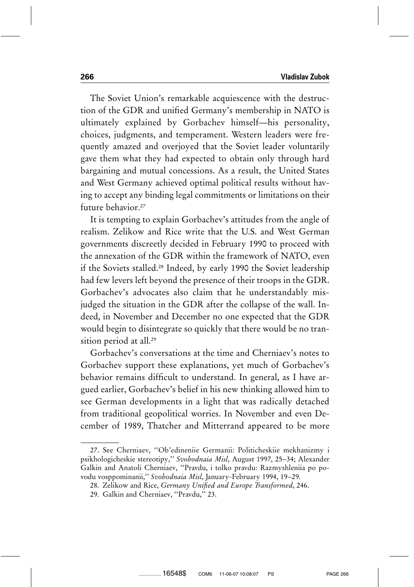The Soviet Union's remarkable acquiescence with the destruction of the GDR and unified Germany's membership in NATO is ultimately explained by Gorbachev himself—his personality, choices, judgments, and temperament. Western leaders were frequently amazed and overjoyed that the Soviet leader voluntarily gave them what they had expected to obtain only through hard bargaining and mutual concessions. As a result, the United States and West Germany achieved optimal political results without having to accept any binding legal commitments or limitations on their future behavior.<sup>27</sup>

It is tempting to explain Gorbachev's attitudes from the angle of realism. Zelikow and Rice write that the U.S. and West German governments discreetly decided in February 1990 to proceed with the annexation of the GDR within the framework of NATO, even if the Soviets stalled.28 Indeed, by early 1990 the Soviet leadership had few levers left beyond the presence of their troops in the GDR. Gorbachev's advocates also claim that he understandably misjudged the situation in the GDR after the collapse of the wall. Indeed, in November and December no one expected that the GDR would begin to disintegrate so quickly that there would be no transition period at all.<sup>29</sup>

Gorbachev's conversations at the time and Cherniaev's notes to Gorbachev support these explanations, yet much of Gorbachev's behavior remains difficult to understand. In general, as I have argued earlier, Gorbachev's belief in his new thinking allowed him to see German developments in a light that was radically detached from traditional geopolitical worries. In November and even December of 1989, Thatcher and Mitterrand appeared to be more

<sup>27.</sup> See Cherniaev, ''Ob'edineniie Germanii: Politicheskiie mekhanizmy i psikhologicheskie stereotipy,'' *Svobodnaia Misl*, August 1997, 25–34; Alexander Galkin and Anatoli Cherniaev, ''Pravdu, i tolko pravdu: Razmyshleniia po povodu vosppominanii,'' *Svobodnaia Misl*, January-February 1994, 19–29.

<sup>28.</sup> Zelikow and Rice, *Germany Unified and Europe Transformed*, 246.

<sup>29.</sup> Galkin and Cherniaev, ''Pravdu,'' 23.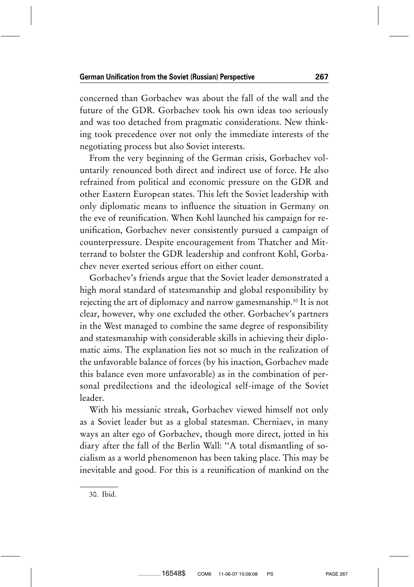concerned than Gorbachev was about the fall of the wall and the future of the GDR. Gorbachev took his own ideas too seriously and was too detached from pragmatic considerations. New thinking took precedence over not only the immediate interests of the negotiating process but also Soviet interests.

From the very beginning of the German crisis, Gorbachev voluntarily renounced both direct and indirect use of force. He also refrained from political and economic pressure on the GDR and other Eastern European states. This left the Soviet leadership with only diplomatic means to influence the situation in Germany on the eve of reunification. When Kohl launched his campaign for reunification, Gorbachev never consistently pursued a campaign of counterpressure. Despite encouragement from Thatcher and Mitterrand to bolster the GDR leadership and confront Kohl, Gorbachev never exerted serious effort on either count.

Gorbachev's friends argue that the Soviet leader demonstrated a high moral standard of statesmanship and global responsibility by rejecting the art of diplomacy and narrow gamesmanship.30 It is not clear, however, why one excluded the other. Gorbachev's partners in the West managed to combine the same degree of responsibility and statesmanship with considerable skills in achieving their diplomatic aims. The explanation lies not so much in the realization of the unfavorable balance of forces (by his inaction, Gorbachev made this balance even more unfavorable) as in the combination of personal predilections and the ideological self-image of the Soviet leader.

With his messianic streak, Gorbachev viewed himself not only as a Soviet leader but as a global statesman. Cherniaev, in many ways an alter ego of Gorbachev, though more direct, jotted in his diary after the fall of the Berlin Wall: ''A total dismantling of socialism as a world phenomenon has been taking place. This may be inevitable and good. For this is a reunification of mankind on the

<sup>30.</sup> Ibid.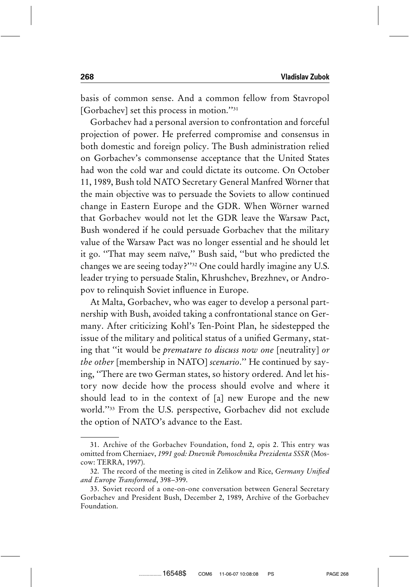basis of common sense. And a common fellow from Stavropol [Gorbachev] set this process in motion."<sup>31</sup>

Gorbachev had a personal aversion to confrontation and forceful projection of power. He preferred compromise and consensus in both domestic and foreign policy. The Bush administration relied on Gorbachev's commonsense acceptance that the United States had won the cold war and could dictate its outcome. On October 11, 1989, Bush told NATO Secretary General Manfred Wörner that the main objective was to persuade the Soviets to allow continued change in Eastern Europe and the GDR. When Wörner warned that Gorbachev would not let the GDR leave the Warsaw Pact, Bush wondered if he could persuade Gorbachev that the military value of the Warsaw Pact was no longer essential and he should let it go. "That may seem naïve," Bush said, "but who predicted the changes we are seeing today?''32 One could hardly imagine any U.S. leader trying to persuade Stalin, Khrushchev, Brezhnev, or Andropov to relinquish Soviet influence in Europe.

At Malta, Gorbachev, who was eager to develop a personal partnership with Bush, avoided taking a confrontational stance on Germany. After criticizing Kohl's Ten-Point Plan, he sidestepped the issue of the military and political status of a unified Germany, stating that ''it would be *premature to discuss now one* [neutrality] *or the other* [membership in NATO] *scenario*.'' He continued by saying, ''There are two German states, so history ordered. And let history now decide how the process should evolve and where it should lead to in the context of [a] new Europe and the new world.''33 From the U.S. perspective, Gorbachev did not exclude the option of NATO's advance to the East.

<sup>31.</sup> Archive of the Gorbachev Foundation, fond 2, opis 2. This entry was omitted from Cherniaev, *1991 god: Dnevnik Pomoschnika Prezidenta SSSR* (Moscow: TERRA, 1997).

<sup>32.</sup> The record of the meeting is cited in Zelikow and Rice, *Germany Unified and Europe Transformed*, 398–399.

<sup>33.</sup> Soviet record of a one-on-one conversation between General Secretary Gorbachev and President Bush, December 2, 1989, Archive of the Gorbachev Foundation.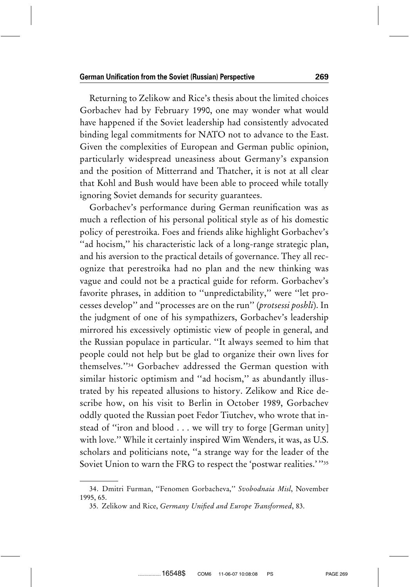Returning to Zelikow and Rice's thesis about the limited choices Gorbachev had by February 1990, one may wonder what would have happened if the Soviet leadership had consistently advocated binding legal commitments for NATO not to advance to the East. Given the complexities of European and German public opinion, particularly widespread uneasiness about Germany's expansion and the position of Mitterrand and Thatcher, it is not at all clear that Kohl and Bush would have been able to proceed while totally ignoring Soviet demands for security guarantees.

Gorbachev's performance during German reunification was as much a reflection of his personal political style as of his domestic policy of perestroika. Foes and friends alike highlight Gorbachev's ''ad hocism,'' his characteristic lack of a long-range strategic plan, and his aversion to the practical details of governance. They all recognize that perestroika had no plan and the new thinking was vague and could not be a practical guide for reform. Gorbachev's favorite phrases, in addition to ''unpredictability,'' were ''let processes develop'' and ''processes are on the run'' (*protsessi poshli*). In the judgment of one of his sympathizers, Gorbachev's leadership mirrored his excessively optimistic view of people in general, and the Russian populace in particular. ''It always seemed to him that people could not help but be glad to organize their own lives for themselves.''34 Gorbachev addressed the German question with similar historic optimism and "ad hocism," as abundantly illustrated by his repeated allusions to history. Zelikow and Rice describe how, on his visit to Berlin in October 1989, Gorbachev oddly quoted the Russian poet Fedor Tiutchev, who wrote that instead of ''iron and blood . . . we will try to forge [German unity] with love.'' While it certainly inspired Wim Wenders, it was, as U.S. scholars and politicians note, ''a strange way for the leader of the Soviet Union to warn the FRG to respect the 'postwar realities.' ''35

<sup>34.</sup> Dmitri Furman, ''Fenomen Gorbacheva,'' *Svobodnaia Misl*, November 1995, 65.

<sup>35.</sup> Zelikow and Rice, *Germany Unified and Europe Transformed*, 83.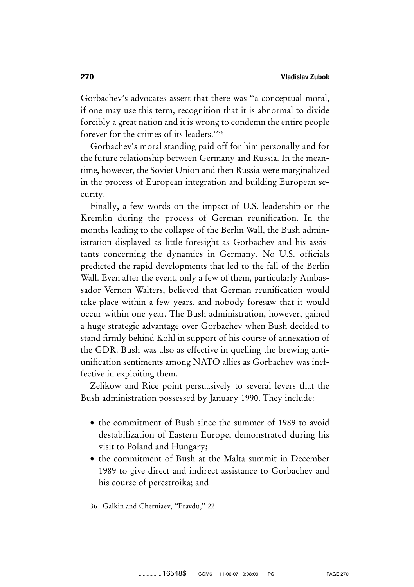Gorbachev's advocates assert that there was ''a conceptual-moral, if one may use this term, recognition that it is abnormal to divide forcibly a great nation and it is wrong to condemn the entire people forever for the crimes of its leaders.''36

Gorbachev's moral standing paid off for him personally and for the future relationship between Germany and Russia. In the meantime, however, the Soviet Union and then Russia were marginalized in the process of European integration and building European security.

Finally, a few words on the impact of U.S. leadership on the Kremlin during the process of German reunification. In the months leading to the collapse of the Berlin Wall, the Bush administration displayed as little foresight as Gorbachev and his assistants concerning the dynamics in Germany. No U.S. officials predicted the rapid developments that led to the fall of the Berlin Wall. Even after the event, only a few of them, particularly Ambassador Vernon Walters, believed that German reunification would take place within a few years, and nobody foresaw that it would occur within one year. The Bush administration, however, gained a huge strategic advantage over Gorbachev when Bush decided to stand firmly behind Kohl in support of his course of annexation of the GDR. Bush was also as effective in quelling the brewing antiunification sentiments among NATO allies as Gorbachev was ineffective in exploiting them.

Zelikow and Rice point persuasively to several levers that the Bush administration possessed by January 1990. They include:

- the commitment of Bush since the summer of 1989 to avoid destabilization of Eastern Europe, demonstrated during his visit to Poland and Hungary;
- the commitment of Bush at the Malta summit in December 1989 to give direct and indirect assistance to Gorbachev and his course of perestroika; and

<sup>36.</sup> Galkin and Cherniaev, ''Pravdu,'' 22.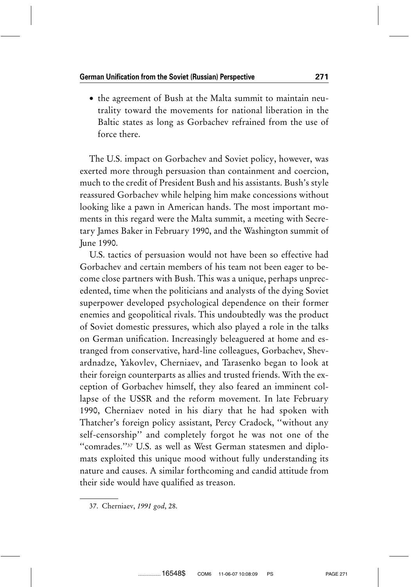• the agreement of Bush at the Malta summit to maintain neutrality toward the movements for national liberation in the Baltic states as long as Gorbachev refrained from the use of force there.

The U.S. impact on Gorbachev and Soviet policy, however, was exerted more through persuasion than containment and coercion, much to the credit of President Bush and his assistants. Bush's style reassured Gorbachev while helping him make concessions without looking like a pawn in American hands. The most important moments in this regard were the Malta summit, a meeting with Secretary James Baker in February 1990, and the Washington summit of June 1990.

U.S. tactics of persuasion would not have been so effective had Gorbachev and certain members of his team not been eager to become close partners with Bush. This was a unique, perhaps unprecedented, time when the politicians and analysts of the dying Soviet superpower developed psychological dependence on their former enemies and geopolitical rivals. This undoubtedly was the product of Soviet domestic pressures, which also played a role in the talks on German unification. Increasingly beleaguered at home and estranged from conservative, hard-line colleagues, Gorbachev, Shevardnadze, Yakovlev, Cherniaev, and Tarasenko began to look at their foreign counterparts as allies and trusted friends. With the exception of Gorbachev himself, they also feared an imminent collapse of the USSR and the reform movement. In late February 1990, Cherniaev noted in his diary that he had spoken with Thatcher's foreign policy assistant, Percy Cradock, ''without any self-censorship'' and completely forgot he was not one of the ''comrades.''37 U.S. as well as West German statesmen and diplomats exploited this unique mood without fully understanding its nature and causes. A similar forthcoming and candid attitude from their side would have qualified as treason.

<sup>37.</sup> Cherniaev, *1991 god*, 28.